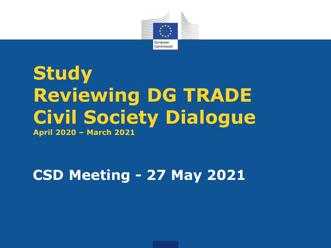

## **Study Reviewing DG TRADE Civil Society Dialogue April 2020 – March 2021**

### **CSD Meeting - 27 May 2021**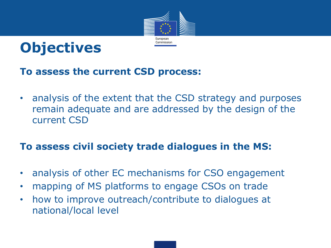



#### **To assess the current CSD process:**

• analysis of the extent that the CSD strategy and purposes remain adequate and are addressed by the design of the current CSD

#### **To assess civil society trade dialogues in the MS:**

- analysis of other EC mechanisms for CSO engagement
- mapping of MS platforms to engage CSOs on trade
- how to improve outreach/contribute to dialogues at national/local level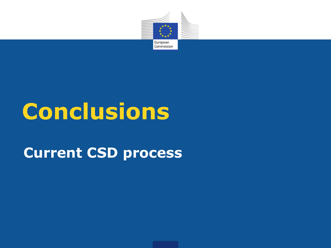

## **Conclusions**

### **Current CSD process**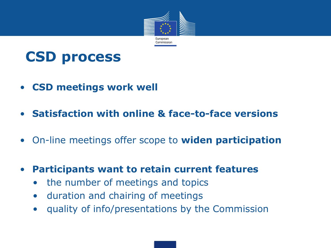

### **CSD process**

- **CSD meetings work well**
- **Satisfaction with online & face-to-face versions**
- On-line meetings offer scope to **widen participation**
- **Participants want to retain current features**
	- the number of meetings and topics
	- duration and chairing of meetings
	- quality of info/presentations by the Commission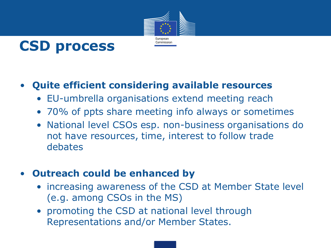



#### • **Quite efficient considering available resources**

- EU-umbrella organisations extend meeting reach
- 70% of ppts share meeting info always or sometimes
- National level CSOs esp. non-business organisations do not have resources, time, interest to follow trade debates

#### • **Outreach could be enhanced by**

- increasing awareness of the CSD at Member State level (e.g. among CSOs in the MS)
- promoting the CSD at national level through Representations and/or Member States.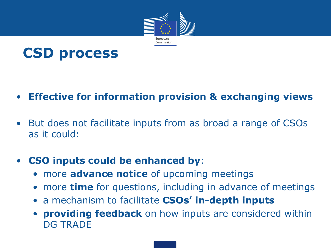



#### • **Effective for information provision & exchanging views**

• But does not facilitate inputs from as broad a range of CSOs as it could:

#### • **CSO inputs could be enhanced by**:

- more **advance notice** of upcoming meetings
- more **time** for questions, including in advance of meetings
- a mechanism to facilitate **CSOs' in-depth inputs**
- **providing feedback** on how inputs are considered within DG TRADE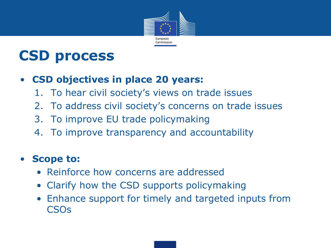

### **CSD process**

#### • **CSD objectives in place 20 years:**

- 1. To hear civil society's views on trade issues
- 2. To address civil society's concerns on trade issues
- 3. To improve EU trade policymaking
- 4. To improve transparency and accountability

#### • **Scope to:**

- Reinforce how concerns are addressed
- Clarify how the CSD supports policymaking
- Enhance support for timely and targeted inputs from CSOs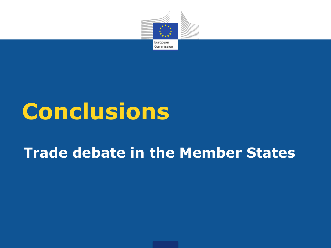

# **Conclusions**

### **Trade debate in the Member States**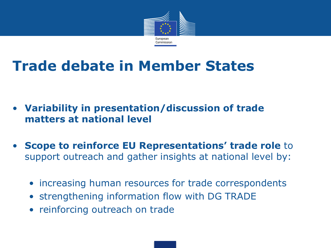

### **Trade debate in Member States**

- **Variability in presentation/discussion of trade matters at national level**
- **Scope to reinforce EU Representations' trade role** to support outreach and gather insights at national level by:
	- increasing human resources for trade correspondents
	- strengthening information flow with DG TRADE
	- reinforcing outreach on trade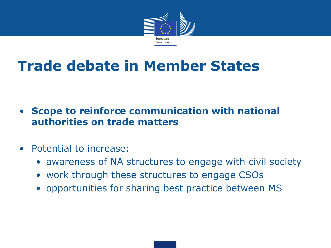

### **Trade debate in Member States**

- **Scope to reinforce communication with national authorities on trade matters**
- Potential to increase:
	- awareness of NA structures to engage with civil society
	- work through these structures to engage CSOs
	- opportunities for sharing best practice between MS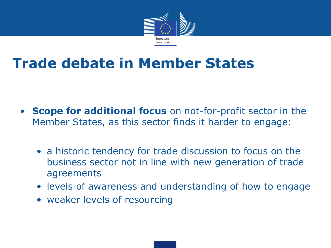

### **Trade debate in Member States**

- **Scope for additional focus** on not-for-profit sector in the Member States, as this sector finds it harder to engage:
	- a historic tendency for trade discussion to focus on the business sector not in line with new generation of trade agreements
	- levels of awareness and understanding of how to engage
	- weaker levels of resourcing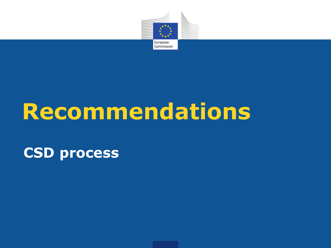

# **Recommendations**

### **CSD process**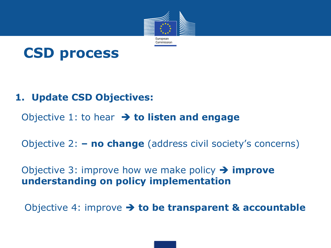



#### **1. Update CSD Objectives:**

Objective 1: to hear **to listen and engage** 

Objective 2: **– no change** (address civil society's concerns)

#### Objective 3: improve how we make policy **improve understanding on policy implementation**

Objective 4: improve **to be transparent & accountable**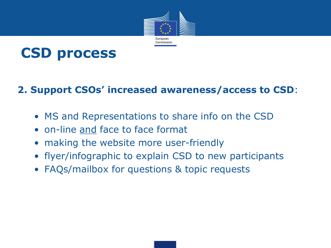



#### **2. Support CSOs' increased awareness/access to CSD**:

- MS and Representations to share info on the CSD
- on-line and face to face format
- making the website more user-friendly
- flyer/infographic to explain CSD to new participants
- FAQs/mailbox for questions & topic requests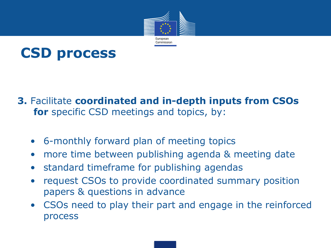



#### **3.** Facilitate **coordinated and in-depth inputs from CSOs for** specific CSD meetings and topics, by:

- 6-monthly forward plan of meeting topics
- more time between publishing agenda & meeting date
- standard timeframe for publishing agendas
- request CSOs to provide coordinated summary position papers & questions in advance
- CSOs need to play their part and engage in the reinforced process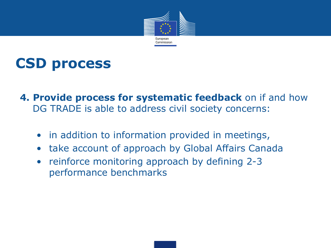



- **4. Provide process for systematic feedback** on if and how DG TRADE is able to address civil society concerns:
	- in addition to information provided in meetings,
	- take account of approach by Global Affairs Canada
	- reinforce monitoring approach by defining 2-3 performance benchmarks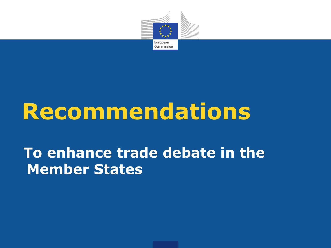

# **Recommendations**

### **To enhance trade debate in the Member States**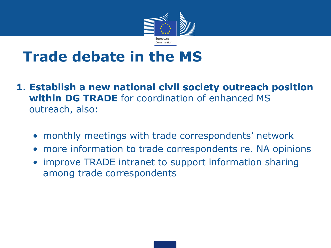

### **Trade debate in the MS**

- **1. Establish a new national civil society outreach position within DG TRADE** for coordination of enhanced MS outreach, also:
	- monthly meetings with trade correspondents' network
	- more information to trade correspondents re. NA opinions
	- improve TRADE intranet to support information sharing among trade correspondents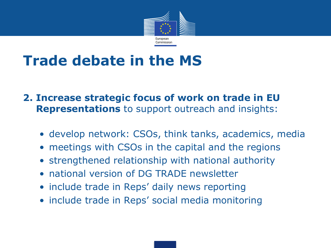

### **Trade debate in the MS**

#### **2. Increase strategic focus of work on trade in EU Representations** to support outreach and insights:

- develop network: CSOs, think tanks, academics, media
- meetings with CSOs in the capital and the regions
- strengthened relationship with national authority
- national version of DG TRADE newsletter
- include trade in Reps' daily news reporting
- include trade in Reps' social media monitoring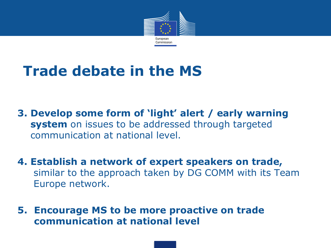

### **Trade debate in the MS**

**3. Develop some form of 'light' alert / early warning system** on issues to be addressed through targeted communication at national level.

**4. Establish a network of expert speakers on trade,**  similar to the approach taken by DG COMM with its Team Europe network.

**5. Encourage MS to be more proactive on trade communication at national level**